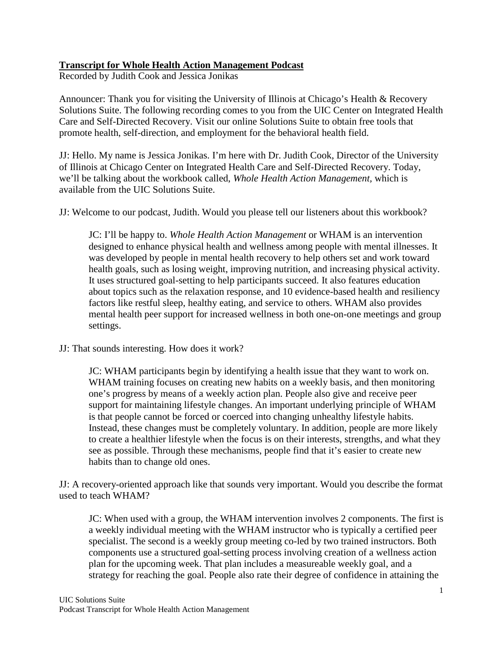## **Transcript for Whole Health Action Management Podcast**

Recorded by Judith Cook and Jessica Jonikas

Announcer: Thank you for visiting the University of Illinois at Chicago's Health & Recovery Solutions Suite. The following recording comes to you from the UIC Center on Integrated Health Care and Self-Directed Recovery. Visit our online Solutions Suite to obtain free tools that promote health, self-direction, and employment for the behavioral health field.

JJ: Hello. My name is Jessica Jonikas. I'm here with Dr. Judith Cook, Director of the University of Illinois at Chicago Center on Integrated Health Care and Self-Directed Recovery. Today, we'll be talking about the workbook called, *Whole Health Action Management,* which is available from the UIC Solutions Suite.

JJ: Welcome to our podcast, Judith. Would you please tell our listeners about this workbook?

JC: I'll be happy to. *Whole Health Action Management* or WHAM is an intervention designed to enhance physical health and wellness among people with mental illnesses. It was developed by people in mental health recovery to help others set and work toward health goals, such as losing weight, improving nutrition, and increasing physical activity. It uses structured goal-setting to help participants succeed. It also features education about topics such as the relaxation response, and 10 evidence-based health and resiliency factors like restful sleep, healthy eating, and service to others. WHAM also provides mental health peer support for increased wellness in both one-on-one meetings and group settings.

JJ: That sounds interesting. How does it work?

JC: WHAM participants begin by identifying a health issue that they want to work on. WHAM training focuses on creating new habits on a weekly basis, and then monitoring one's progress by means of a weekly action plan. People also give and receive peer support for maintaining lifestyle changes. An important underlying principle of WHAM is that people cannot be forced or coerced into changing unhealthy lifestyle habits. Instead, these changes must be completely voluntary. In addition, people are more likely to create a healthier lifestyle when the focus is on their interests, strengths, and what they see as possible. Through these mechanisms, people find that it's easier to create new habits than to change old ones.

JJ: A recovery-oriented approach like that sounds very important. Would you describe the format used to teach WHAM?

JC: When used with a group, the WHAM intervention involves 2 components. The first is a weekly individual meeting with the WHAM instructor who is typically a certified peer specialist. The second is a weekly group meeting co-led by two trained instructors. Both components use a structured goal-setting process involving creation of a wellness action plan for the upcoming week. That plan includes a measureable weekly goal, and a strategy for reaching the goal. People also rate their degree of confidence in attaining the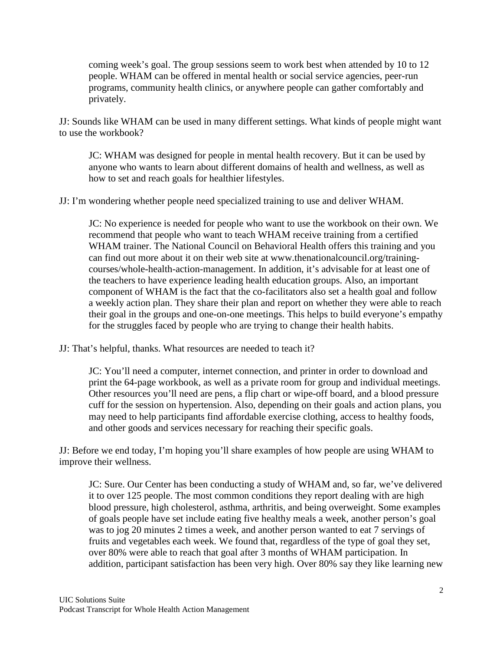coming week's goal. The group sessions seem to work best when attended by 10 to 12 people. WHAM can be offered in mental health or social service agencies, peer-run programs, community health clinics, or anywhere people can gather comfortably and privately.

JJ: Sounds like WHAM can be used in many different settings. What kinds of people might want to use the workbook?

JC: WHAM was designed for people in mental health recovery. But it can be used by anyone who wants to learn about different domains of health and wellness, as well as how to set and reach goals for healthier lifestyles.

JJ: I'm wondering whether people need specialized training to use and deliver WHAM.

JC: No experience is needed for people who want to use the workbook on their own. We recommend that people who want to teach WHAM receive training from a certified WHAM trainer. The National Council on Behavioral Health offers this training and you can find out more about it on their web site at www.thenationalcouncil.org/trainingcourses/whole-health-action-management. In addition, it's advisable for at least one of the teachers to have experience leading health education groups. Also, an important component of WHAM is the fact that the co-facilitators also set a health goal and follow a weekly action plan. They share their plan and report on whether they were able to reach their goal in the groups and one-on-one meetings. This helps to build everyone's empathy for the struggles faced by people who are trying to change their health habits.

JJ: That's helpful, thanks. What resources are needed to teach it?

JC: You'll need a computer, internet connection, and printer in order to download and print the 64-page workbook, as well as a private room for group and individual meetings. Other resources you'll need are pens, a flip chart or wipe-off board, and a blood pressure cuff for the session on hypertension. Also, depending on their goals and action plans, you may need to help participants find affordable exercise clothing, access to healthy foods, and other goods and services necessary for reaching their specific goals.

JJ: Before we end today, I'm hoping you'll share examples of how people are using WHAM to improve their wellness.

JC: Sure. Our Center has been conducting a study of WHAM and, so far, we've delivered it to over 125 people. The most common conditions they report dealing with are high blood pressure, high cholesterol, asthma, arthritis, and being overweight. Some examples of goals people have set include eating five healthy meals a week, another person's goal was to jog 20 minutes 2 times a week, and another person wanted to eat 7 servings of fruits and vegetables each week. We found that, regardless of the type of goal they set, over 80% were able to reach that goal after 3 months of WHAM participation. In addition, participant satisfaction has been very high. Over 80% say they like learning new